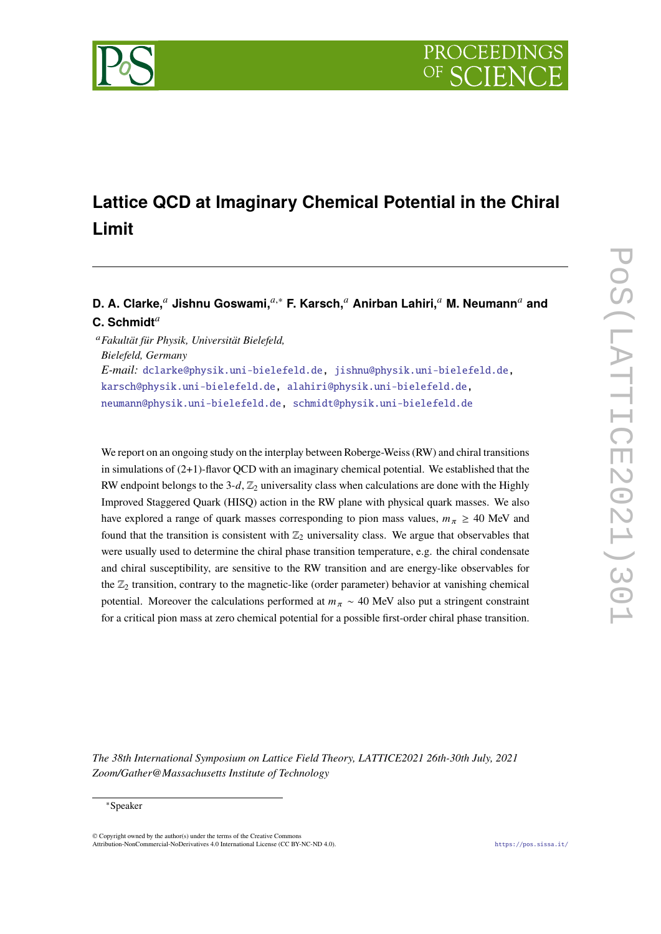

# **Lattice QCD at Imaginary Chemical Potential in the Chiral Limit**

# **D. A. Clarke,<sup>***a***</sup> Jishnu Goswami,<sup>***a***,∗</sup> <b>F. Karsch,**<sup>*a*</sup> Anirban Lahiri,<sup>*a*</sup> M. Neumann<sup>*a*</sup> and C. Schmidt<sup>a</sup>

<sup>𝑎</sup>*Fakultät für Physik, Universität Bielefeld, Bielefeld, Germany E-mail:* [dclarke@physik.uni-bielefeld.de,](mailto:dclarke@physik.uni-bielefeld.de) [jishnu@physik.uni-bielefeld.de,](mailto:jishnu@physik.uni-bielefeld.de) [karsch@physik.uni-bielefeld.de,](mailto:karsch@physik.uni-bielefeld.de) [alahiri@physik.uni-bielefeld.de,](mailto:alahiri@physik.uni-bielefeld.de) [neumann@physik.uni-bielefeld.de,](mailto:neumann@physik.uni-bielefeld.de) [schmidt@physik.uni-bielefeld.de](mailto:schmidt@physik.uni-bielefeld.de)

We report on an ongoing study on the interplay between Roberge-Weiss (RW) and chiral transitions in simulations of (2+1)-flavor QCD with an imaginary chemical potential. We established that the RW endpoint belongs to the 3-d,  $\mathbb{Z}_2$  universality class when calculations are done with the Highly Improved Staggered Quark (HISQ) action in the RW plane with physical quark masses. We also have explored a range of quark masses corresponding to pion mass values,  $m_{\pi} \geq 40$  MeV and found that the transition is consistent with  $\mathbb{Z}_2$  universality class. We argue that observables that were usually used to determine the chiral phase transition temperature, e.g. the chiral condensate and chiral susceptibility, are sensitive to the RW transition and are energy-like observables for the  $\mathbb{Z}_2$  transition, contrary to the magnetic-like (order parameter) behavior at vanishing chemical potential. Moreover the calculations performed at  $m_{\pi} \sim 40$  MeV also put a stringent constraint for a critical pion mass at zero chemical potential for a possible first-order chiral phase transition.

*The 38th International Symposium on Lattice Field Theory, LATTICE2021 26th-30th July, 2021 Zoom/Gather@Massachusetts Institute of Technology*

### <sup>∗</sup>Speaker

© Copyright owned by the author(s) under the terms of the Creative Commons Attribution-NonCommercial-NoDerivatives 4.0 International License (CC BY-NC-ND 4.0). <https://pos.sissa.it/>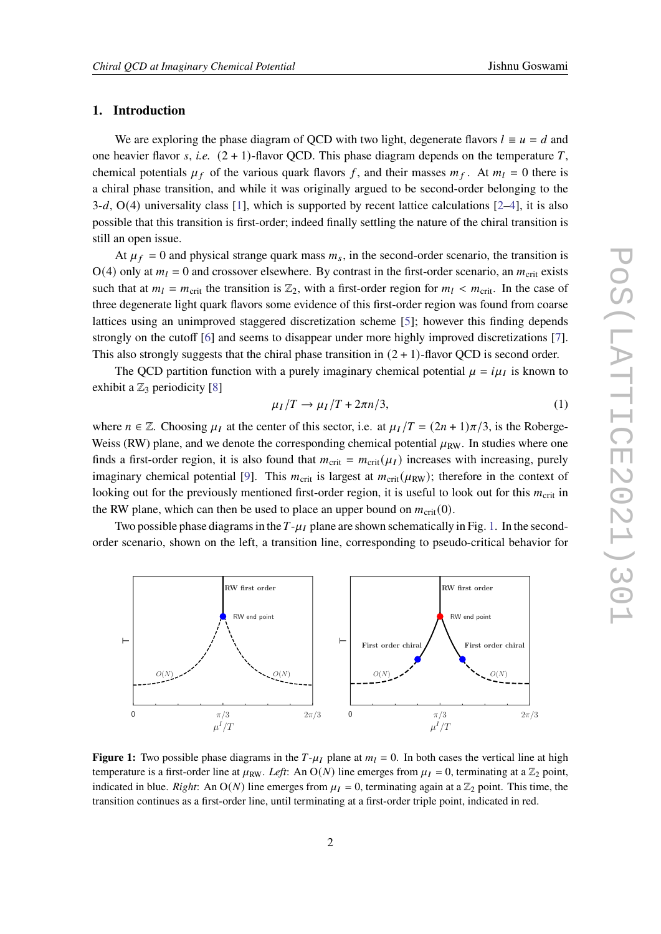# **1. Introduction**

We are exploring the phase diagram of QCD with two light, degenerate flavors  $l \equiv u = d$  and one heavier flavor  $s$ , *i.e.*  $(2 + 1)$ -flavor QCD. This phase diagram depends on the temperature  $T$ , chemical potentials  $\mu_f$  of the various quark flavors f, and their masses  $m_f$ . At  $m_l = 0$  there is a chiral phase transition, and while it was originally argued to be second-order belonging to the  $3-d$ ,  $O(4)$  universality class [\[1\]](#page-7-0), which is supported by recent lattice calculations [\[2–](#page-7-1)[4\]](#page-7-2), it is also possible that this transition is first-order; indeed finally settling the nature of the chiral transition is still an open issue.

At  $\mu_f = 0$  and physical strange quark mass  $m_s$ , in the second-order scenario, the transition is  $O(4)$  only at  $m_l = 0$  and crossover elsewhere. By contrast in the first-order scenario, an  $m_{crit}$  exists such that at  $m_l = m_{\text{crit}}$  the transition is  $\mathbb{Z}_2$ , with a first-order region for  $m_l < m_{\text{crit}}$ . In the case of three degenerate light quark flavors some evidence of this first-order region was found from coarse lattices using an unimproved staggered discretization scheme [\[5\]](#page-7-3); however this finding depends strongly on the cutoff [\[6\]](#page-7-4) and seems to disappear under more highly improved discretizations [\[7\]](#page-7-5). This also strongly suggests that the chiral phase transition in  $(2 + 1)$ -flavor QCD is second order.

The QCD partition function with a purely imaginary chemical potential  $\mu = i\mu_I$  is known to exhibit a  $\mathbb{Z}_3$  periodicity [\[8\]](#page-7-6)

$$
\mu_I/T \to \mu_I/T + 2\pi n/3,\tag{1}
$$

where  $n \in \mathbb{Z}$ . Choosing  $\mu_I$  at the center of this sector, i.e. at  $\mu_I/T = (2n + 1)\pi/3$ , is the Roberge-Weiss (RW) plane, and we denote the corresponding chemical potential  $\mu_{RW}$ . In studies where one finds a first-order region, it is also found that  $m_{\text{crit}} = m_{\text{crit}}(\mu_I)$  increases with increasing, purely imaginary chemical potential [\[9\]](#page-7-7). This  $m_{\text{crit}}$  is largest at  $m_{\text{crit}}(\mu_{\text{RW}})$ ; therefore in the context of looking out for the previously mentioned first-order region, it is useful to look out for this  $m_{\text{crit}}$  in the RW plane, which can then be used to place an upper bound on  $m_{\text{crit}}(0)$ .

Two possible phase diagrams in the  $T-\mu_I$  plane are shown schematically in Fig. [1.](#page-1-0) In the secondorder scenario, shown on the left, a transition line, corresponding to pseudo-critical behavior for

<span id="page-1-0"></span>

**Figure 1:** Two possible phase diagrams in the  $T-\mu_I$  plane at  $m_I = 0$ . In both cases the vertical line at high temperature is a first-order line at  $\mu_{RW}$ . *Left*: An O(*N*) line emerges from  $\mu_I = 0$ , terminating at a  $\mathbb{Z}_2$  point, indicated in blue. *Right*: An  $O(N)$  line emerges from  $\mu_I = 0$ , terminating again at a  $\mathbb{Z}_2$  point. This time, the transition continues as a first-order line, until terminating at a first-order triple point, indicated in red.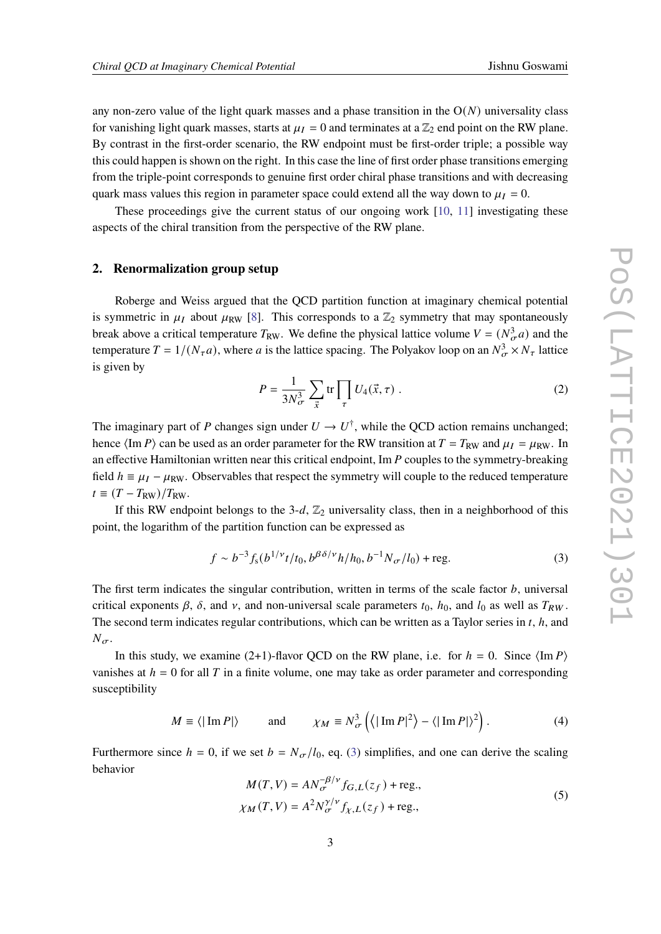any non-zero value of the light quark masses and a phase transition in the  $O(N)$  universality class for vanishing light quark masses, starts at  $\mu_I = 0$  and terminates at a  $\mathbb{Z}_2$  end point on the RW plane. By contrast in the first-order scenario, the RW endpoint must be first-order triple; a possible way this could happen is shown on the right. In this case the line of first order phase transitions emerging from the triple-point corresponds to genuine first order chiral phase transitions and with decreasing quark mass values this region in parameter space could extend all the way down to  $\mu_I = 0$ .

These proceedings give the current status of our ongoing work [\[10,](#page-7-8) [11\]](#page-7-9) investigating these aspects of the chiral transition from the perspective of the RW plane.

### **2. Renormalization group setup**

Roberge and Weiss argued that the QCD partition function at imaginary chemical potential is symmetric in  $\mu_I$  about  $\mu_{RW}$  [\[8\]](#page-7-6). This corresponds to a  $\mathbb{Z}_2$  symmetry that may spontaneously break above a critical temperature  $T_{RW}$ . We define the physical lattice volume  $V = (N_{\sigma}^3 a)$  and the temperature  $T = 1/(N_{\tau}a)$ , where a is the lattice spacing. The Polyakov loop on an  $N_{\sigma}^3 \times N_{\tau}$  lattice is given by

$$
P = \frac{1}{3N_{\sigma}^3} \sum_{\vec{x}} \text{tr} \prod_{\tau} U_4(\vec{x}, \tau) \tag{2}
$$

The imaginary part of P changes sign under  $U \to U^{\dagger}$ , while the QCD action remains unchanged; hence  $\langle \text{Im } P \rangle$  can be used as an order parameter for the RW transition at  $T = T_{RW}$  and  $\mu_I = \mu_{RW}$ . In an effective Hamiltonian written near this critical endpoint, Im  $P$  couples to the symmetry-breaking field  $h = \mu_I - \mu_{RW}$ . Observables that respect the symmetry will couple to the reduced temperature  $t \equiv (T - T_{\rm RW})/T_{\rm RW}.$ 

If this RW endpoint belongs to the 3-d,  $\mathbb{Z}_2$  universality class, then in a neighborhood of this point, the logarithm of the partition function can be expressed as

<span id="page-2-0"></span>
$$
f \sim b^{-3} f_{s}(b^{1/\nu} t/t_0, b^{\beta \delta/\nu} h/h_0, b^{-1} N_{\sigma}/l_0) + \text{reg.}
$$
 (3)

The first term indicates the singular contribution, written in terms of the scale factor  $b$ , universal critical exponents  $\beta$ ,  $\delta$ , and  $\nu$ , and non-universal scale parameters  $t_0$ ,  $h_0$ , and  $l_0$  as well as  $T_{RW}$ . The second term indicates regular contributions, which can be written as a Taylor series in  $t$ ,  $h$ , and  $N_{\sigma}$ .

In this study, we examine (2+1)-flavor QCD on the RW plane, i.e. for  $h = 0$ . Since  $\langle \text{Im } P \rangle$ vanishes at  $h = 0$  for all T in a finite volume, one may take as order parameter and corresponding susceptibility

$$
M \equiv \langle |\operatorname{Im} P| \rangle \quad \text{and} \quad \chi_M \equiv N_{\sigma}^3 \left( \langle |\operatorname{Im} P|^2 \rangle - \langle |\operatorname{Im} P| \rangle^2 \right). \tag{4}
$$

Furthermore since  $h = 0$ , if we set  $b = N_{\sigma}/l_0$ , eq. [\(3\)](#page-2-0) simplifies, and one can derive the scaling behavior

<span id="page-2-1"></span>
$$
M(T, V) = AN_{\sigma}^{-\beta/\nu} f_{G,L}(z_f) + \text{reg.},
$$
  
\n
$$
\chi_M(T, V) = A^2 N_{\sigma}^{\gamma/\nu} f_{\chi,L}(z_f) + \text{reg.},
$$
\n(5)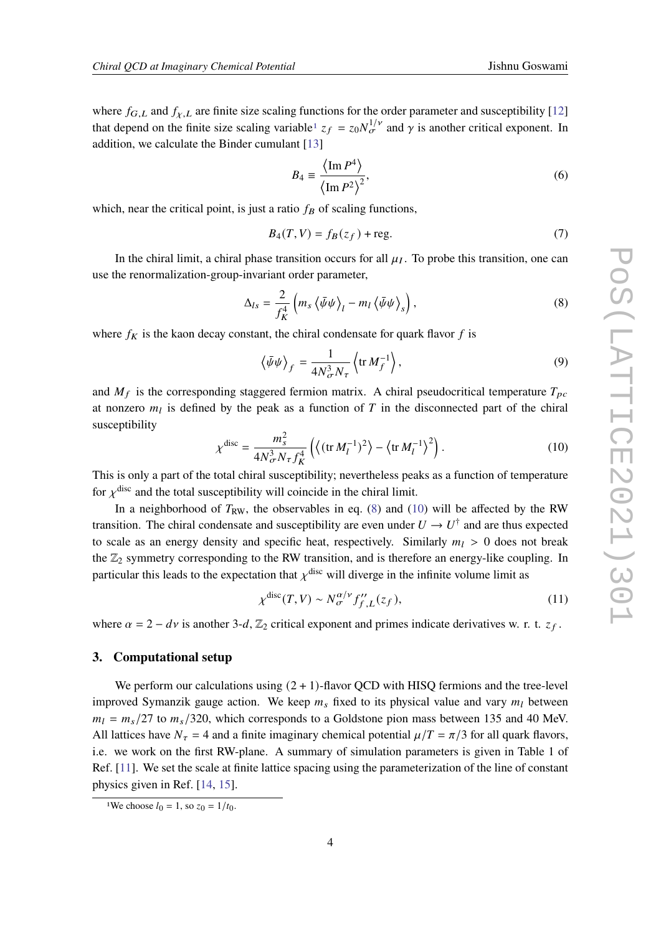where  $f_{G,L}$  and  $f_{\chi,L}$  are finite size scaling functions for the order parameter and susceptibility [\[12\]](#page-8-0) that depend on the finite size scaling variable<sup>[1](#page-3-0)</sup>  $z_f = z_0 N_{\sigma}^{1/\nu}$  and  $\gamma$  is another critical exponent. In addition, we calculate the Binder cumulant [\[13\]](#page-8-1)

<span id="page-3-3"></span>
$$
B_4 \equiv \frac{\langle \operatorname{Im} P^4 \rangle}{\langle \operatorname{Im} P^2 \rangle^2},\tag{6}
$$

which, near the critical point, is just a ratio  $f_B$  of scaling functions,

$$
B_4(T, V) = f_B(z_f) + \text{reg.}
$$
\n<sup>(7)</sup>

In the chiral limit, a chiral phase transition occurs for all  $\mu_I$ . To probe this transition, one can use the renormalization-group-invariant order parameter,

<span id="page-3-1"></span>
$$
\Delta_{ls} = \frac{2}{f_K^4} \left( m_s \left\langle \bar{\psi}\psi \right\rangle_l - m_l \left\langle \bar{\psi}\psi \right\rangle_s \right),\tag{8}
$$

where  $f_K$  is the kaon decay constant, the chiral condensate for quark flavor f is

$$
\left\langle \bar{\psi}\psi \right\rangle_f = \frac{1}{4N_{\sigma}^3 N_{\tau}} \left\langle \text{tr } M_f^{-1} \right\rangle,\tag{9}
$$

and  $M_f$  is the corresponding staggered fermion matrix. A chiral pseudocritical temperature  $T_{pc}$ at nonzero  $m_l$  is defined by the peak as a function of T in the disconnected part of the chiral susceptibility

<span id="page-3-2"></span>
$$
\chi^{\text{disc}} = \frac{m_s^2}{4N_{\sigma}^3 N_{\tau} f_K^4} \left( \left\langle (\text{tr } M_l^{-1})^2 \right\rangle - \left\langle \text{tr } M_l^{-1} \right\rangle^2 \right). \tag{10}
$$

This is only a part of the total chiral susceptibility; nevertheless peaks as a function of temperature for  $\chi^{\text{disc}}$  and the total susceptibility will coincide in the chiral limit.

In a neighborhood of  $T_{RW}$ , the observables in eq. [\(8\)](#page-3-1) and [\(10\)](#page-3-2) will be affected by the RW transition. The chiral condensate and susceptibility are even under  $U \rightarrow U^{\dagger}$  and are thus expected to scale as an energy density and specific heat, respectively. Similarly  $m_l > 0$  does not break the  $\mathbb{Z}_2$  symmetry corresponding to the RW transition, and is therefore an energy-like coupling. In particular this leads to the expectation that  $\chi^{\text{disc}}$  will diverge in the infinite volume limit as

<span id="page-3-4"></span>
$$
\chi^{\text{disc}}(T, V) \sim N_{\sigma}^{\alpha/\nu} f_{f, L}^{\prime\prime}(z_f),\tag{11}
$$

where  $\alpha = 2 - dv$  is another 3-d,  $\mathbb{Z}_2$  critical exponent and primes indicate derivatives w. r. t.  $z_f$ .

# **3. Computational setup**

We perform our calculations using  $(2 + 1)$ -flavor QCD with HISQ fermions and the tree-level improved Symanzik gauge action. We keep  $m_s$  fixed to its physical value and vary  $m_l$  between  $m_l = m_s/27$  to  $m_s/320$ , which corresponds to a Goldstone pion mass between 135 and 40 MeV. All lattices have  $N_{\tau} = 4$  and a finite imaginary chemical potential  $\mu/T = \pi/3$  for all quark flavors, i.e. we work on the first RW-plane. A summary of simulation parameters is given in Table 1 of Ref. [\[11\]](#page-7-9). We set the scale at finite lattice spacing using the parameterization of the line of constant physics given in Ref. [\[14,](#page-8-2) [15\]](#page-8-3).

<span id="page-3-0"></span><sup>&</sup>lt;sup>1</sup>We choose  $l_0 = 1$ , so  $z_0 = 1/t_0$ .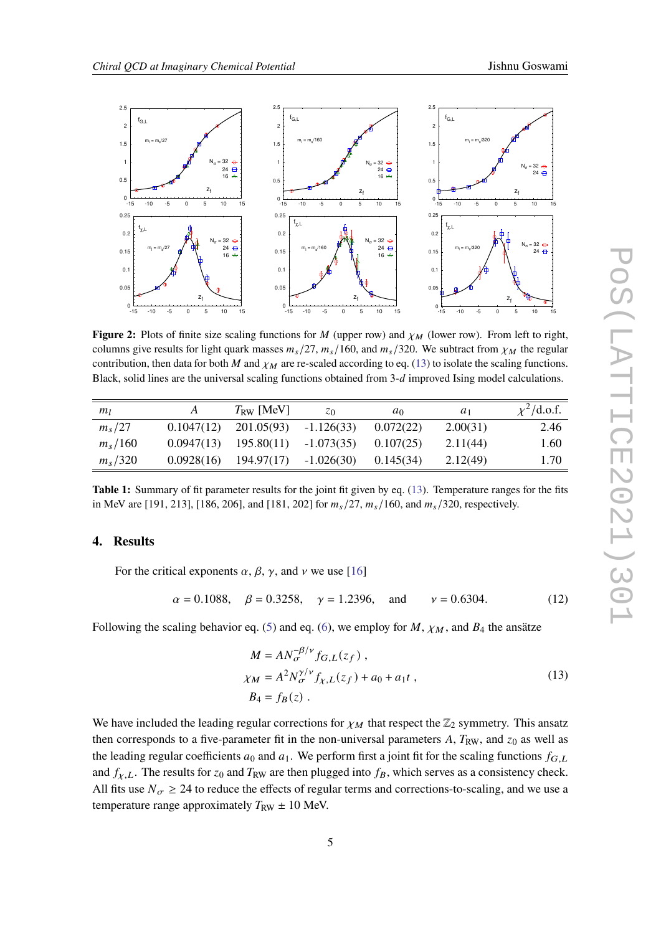<span id="page-4-1"></span>

**Figure 2:** Plots of finite size scaling functions for  $M$  (upper row) and  $\chi_M$  (lower row). From left to right, columns give results for light quark masses  $m_s/27$ ,  $m_s/160$ , and  $m_s/320$ . We subtract from  $\chi_M$  the regular contribution, then data for both M and  $\chi_M$  are re-scaled according to eq. [\(13\)](#page-4-0) to isolate the scaling functions. Black, solid lines are the universal scaling functions obtained from  $3-d$  improved Ising model calculations.

<span id="page-4-2"></span>

| m <sub>1</sub> |            | $T_{\rm RW}$ [MeV]      | z <sub>0</sub> | $a_0$     | $a_1$    | $\chi^2$ /d.o.f. |
|----------------|------------|-------------------------|----------------|-----------|----------|------------------|
| $m_s/27$       | 0.1047(12) | 201.05(93)              | $-1.126(33)$   | 0.072(22) | 2.00(31) | 2.46             |
| $m_s/160$      | 0.0947(13) | $195.80(11) -1.073(35)$ |                | 0.107(25) | 2.11(44) | 1.60             |
| $m_s/320$      | 0.0928(16) | $194.97(17) -1.026(30)$ |                | 0.145(34) | 2.12(49) | 1.70             |

**Table 1:** Summary of fit parameter results for the joint fit given by eq. [\(13\)](#page-4-0). Temperature ranges for the fits in MeV are [191, 213], [186, 206], and [181, 202] for  $m_s/27$ ,  $m_s/160$ , and  $m_s/320$ , respectively.

# **4. Results**

For the critical exponents  $\alpha$ ,  $\beta$ ,  $\gamma$ , and  $\nu$  we use [\[16\]](#page-8-4)

$$
\alpha = 0.1088
$$
,  $\beta = 0.3258$ ,  $\gamma = 1.2396$ , and  $\gamma = 0.6304$ . (12)

Following the scaling behavior eq. [\(5\)](#page-2-1) and eq. [\(6\)](#page-3-3), we employ for  $M$ ,  $\chi_M$ , and  $B_4$  the ansätze

<span id="page-4-0"></span>
$$
M = AN_{\sigma}^{-\beta/\nu} f_{G,L}(z_f) ,
$$
  
\n
$$
\chi_M = A^2 N_{\sigma}^{\gamma/\nu} f_{\chi,L}(z_f) + a_0 + a_1 t ,
$$
  
\n
$$
B_4 = f_B(z) .
$$
\n(13)

We have included the leading regular corrections for  $\chi_M$  that respect the  $\mathbb{Z}_2$  symmetry. This ansatz then corresponds to a five-parameter fit in the non-universal parameters A,  $T_{RW}$ , and  $z_0$  as well as the leading regular coefficients  $a_0$  and  $a_1$ . We perform first a joint fit for the scaling functions  $f_{G,L}$ and  $f_{\chi,L}$ . The results for  $z_0$  and  $T_{RW}$  are then plugged into  $f_B$ , which serves as a consistency check. All fits use  $N_{\sigma} \ge 24$  to reduce the effects of regular terms and corrections-to-scaling, and we use a temperature range approximately  $T_{RW} \pm 10$  MeV.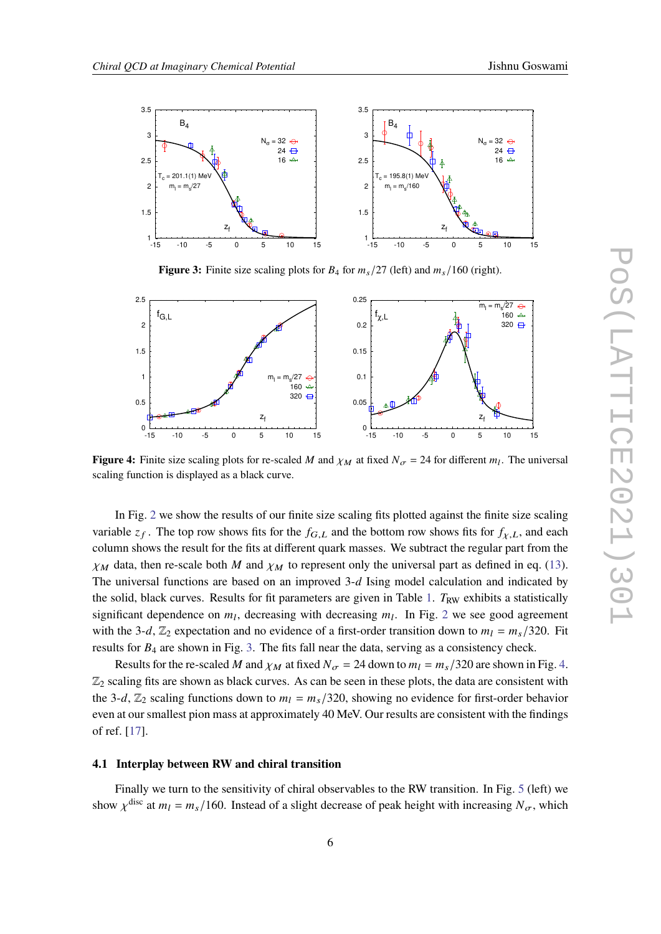<span id="page-5-0"></span>

**Figure 3:** Finite size scaling plots for  $B_4$  for  $m_s/27$  (left) and  $m_s/160$  (right).

<span id="page-5-1"></span>

**Figure 4:** Finite size scaling plots for re-scaled M and  $\chi_M$  at fixed  $N_{\sigma} = 24$  for different  $m_l$ . The universal scaling function is displayed as a black curve.

In Fig. [2](#page-4-1) we show the results of our finite size scaling fits plotted against the finite size scaling variable  $z_f$ . The top row shows fits for the  $f_{G,L}$  and the bottom row shows fits for  $f_{\chi,L}$ , and each column shows the result for the fits at different quark masses. We subtract the regular part from the  $\chi_M$  data, then re-scale both M and  $\chi_M$  to represent only the universal part as defined in eq. [\(13\)](#page-4-0). The universal functions are based on an improved  $3-d$  Ising model calculation and indicated by the solid, black curves. Results for fit parameters are given in Table [1.](#page-4-2)  $T_{RW}$  exhibits a statistically significant dependence on  $m_l$ , decreasing with decreasing  $m_l$ . In Fig. [2](#page-4-1) we see good agreement with the 3-d,  $\mathbb{Z}_2$  expectation and no evidence of a first-order transition down to  $m_l = m_s/320$ . Fit results for  $B_4$  are shown in Fig. [3.](#page-5-0) The fits fall near the data, serving as a consistency check.

Results for the re-scaled M and  $\chi_M$  at fixed  $N_{\sigma} = 24$  down to  $m_l = m_s/320$  are shown in Fig. [4.](#page-5-1)  $\mathbb{Z}_2$  scaling fits are shown as black curves. As can be seen in these plots, the data are consistent with the 3-d,  $\mathbb{Z}_2$  scaling functions down to  $m_l = m_s/320$ , showing no evidence for first-order behavior even at our smallest pion mass at approximately 40 MeV. Our results are consistent with the findings of ref. [\[17\]](#page-8-5).

### **4.1 Interplay between RW and chiral transition**

Finally we turn to the sensitivity of chiral observables to the RW transition. In Fig. [5](#page-6-0) (left) we show  $\chi^{\text{disc}}$  at  $m_l = m_s/160$ . Instead of a slight decrease of peak height with increasing  $N_{\sigma}$ , which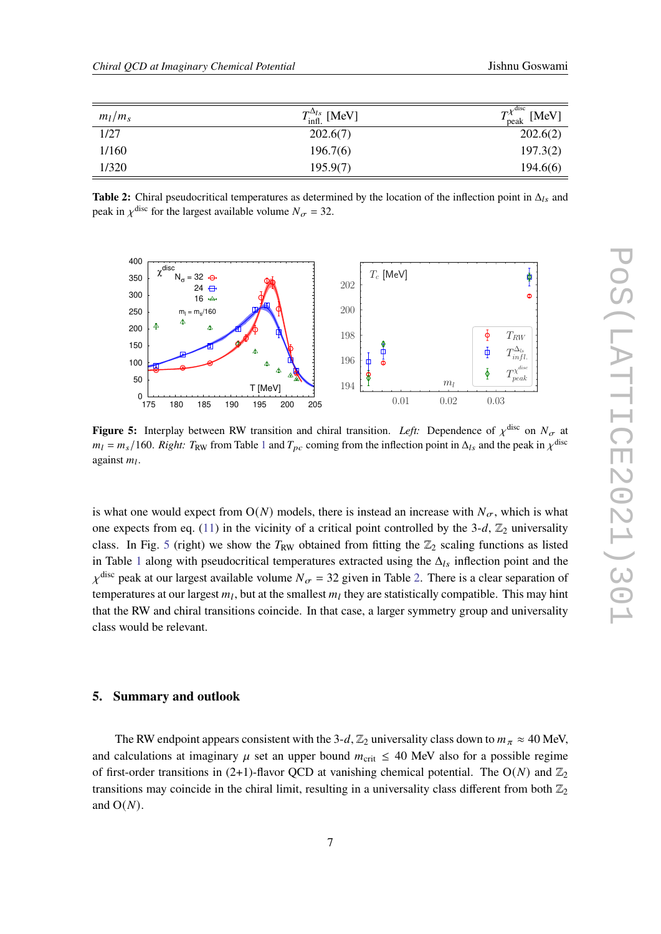<span id="page-6-1"></span>

| $m_l/m_s$ | $T_{\text{infl.}}^{\Delta_{ls}}$ [MeV] | $T^{\chi^{\mathrm{disc}}}$<br>[MeV]<br>peak |
|-----------|----------------------------------------|---------------------------------------------|
| 1/27      | 202.6(7)                               | 202.6(2)                                    |
| 1/160     | 196.7(6)                               | 197.3(2)                                    |
| 1/320     | 195.9(7)                               | 194.6(6)                                    |

**Table 2:** Chiral pseudocritical temperatures as determined by the location of the inflection point in  $\Delta_{ls}$  and peak in  $\chi^{\text{disc}}$  for the largest available volume  $N_{\sigma} = 32$ .

<span id="page-6-0"></span>

**Figure 5:** Interplay between RW transition and chiral transition. Left: Dependence of  $\chi^{\text{disc}}$  on  $N_{\sigma}$  at  $m_l = m_s/160$  $m_l = m_s/160$  $m_l = m_s/160$ . *Right:*  $T_{RW}$  from Table 1 and  $T_{pc}$  coming from the inflection point in  $\Delta_{ls}$  and the peak in  $\chi^{disc}$ against  $m_l$ .

is what one would expect from  $O(N)$  models, there is instead an increase with  $N_{\sigma}$ , which is what one expects from eq. [\(11\)](#page-3-4) in the vicinity of a critical point controlled by the 3-d,  $\mathbb{Z}_2$  universality class. In Fig. [5](#page-6-0) (right) we show the  $T_{RW}$  obtained from fitting the  $\mathbb{Z}_2$  scaling functions as listed in Table [1](#page-4-2) along with pseudocritical temperatures extracted using the  $\Delta_{ls}$  inflection point and the  $\chi^{\text{disc}}$  peak at our largest available volume  $N_{\sigma} = 32$  given in Table [2.](#page-6-1) There is a clear separation of temperatures at our largest  $m_l$ , but at the smallest  $m_l$  they are statistically compatible. This may hint that the RW and chiral transitions coincide. In that case, a larger symmetry group and universality class would be relevant.

# **5. Summary and outlook**

The RW endpoint appears consistent with the 3-d,  $\mathbb{Z}_2$  universality class down to  $m_{\pi} \approx 40$  MeV, and calculations at imaginary  $\mu$  set an upper bound  $m_{\text{crit}} \leq 40$  MeV also for a possible regime of first-order transitions in (2+1)-flavor QCD at vanishing chemical potential. The  $O(N)$  and  $\mathbb{Z}_2$ transitions may coincide in the chiral limit, resulting in a universality class different from both  $\mathbb{Z}_2$ and  $O(N)$ .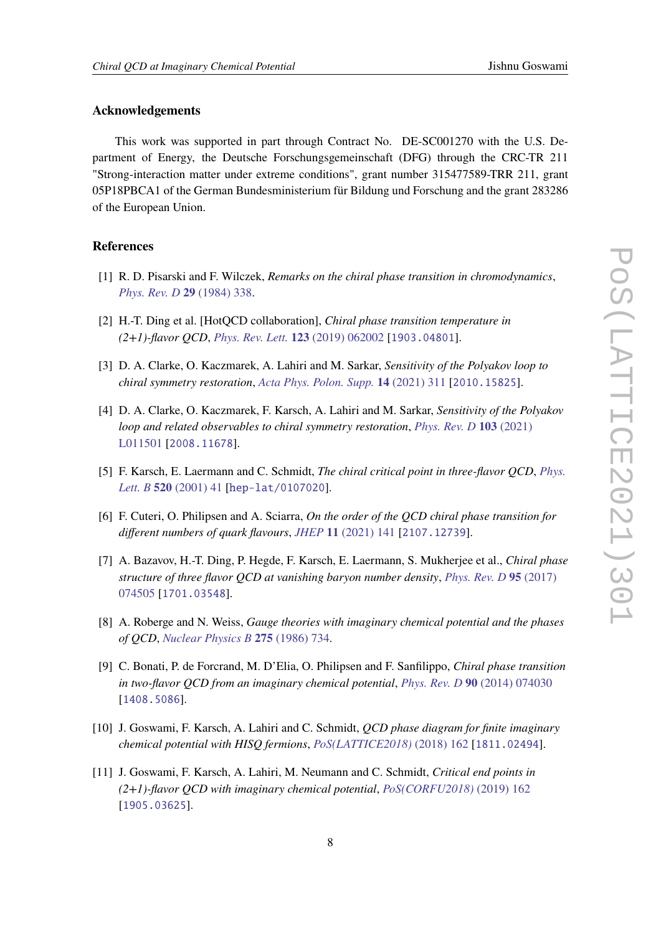# **Acknowledgements**

This work was supported in part through Contract No. DE-SC001270 with the U.S. Department of Energy, the Deutsche Forschungsgemeinschaft (DFG) through the CRC-TR 211 "Strong-interaction matter under extreme conditions", grant number 315477589-TRR 211, grant 05P18PBCA1 of the German Bundesministerium für Bildung und Forschung and the grant 283286 of the European Union.

# **References**

- <span id="page-7-0"></span>[1] R. D. Pisarski and F. Wilczek, *Remarks on the chiral phase transition in chromodynamics*, *[Phys. Rev. D](https://doi.org/doi/10.1103/PhysRevD.29.338)* **29** (1984) 338.
- <span id="page-7-1"></span>[2] H.-T. Ding et al. [HotQCD collaboration], *Chiral phase transition temperature in (2+1)-flavor QCD*, *[Phys. Rev. Lett.](https://doi.org/10.1103/PhysRevLett.123.062002)* **123** (2019) 062002 [[1903.04801](https://arxiv.org/abs/1903.04801)].
- [3] D. A. Clarke, O. Kaczmarek, A. Lahiri and M. Sarkar, *Sensitivity of the Polyakov loop to chiral symmetry restoration*, *[Acta Phys. Polon. Supp.](https://doi.org/10.5506/APHYSPOLBSUPP.14.311)* **14** (2021) 311 [[2010.15825](https://arxiv.org/abs/2010.15825)].
- <span id="page-7-2"></span>[4] D. A. Clarke, O. Kaczmarek, F. Karsch, A. Lahiri and M. Sarkar, *Sensitivity of the Polyakov loop and related observables to chiral symmetry restoration*, *[Phys. Rev. D](https://doi.org/10.1103/PhysRevD.103.L011501)* **103** (2021) [L011501](https://doi.org/10.1103/PhysRevD.103.L011501) [[2008.11678](https://arxiv.org/abs/2008.11678)].
- <span id="page-7-3"></span>[5] F. Karsch, E. Laermann and C. Schmidt, *The chiral critical point in three-flavor QCD*, *[Phys.](https://doi.org/10.1016/S0370-2693(01)01114-5) Lett. B* **520** [\(2001\) 41](https://doi.org/10.1016/S0370-2693(01)01114-5) [[hep-lat/0107020](https://arxiv.org/abs/hep-lat/0107020)].
- <span id="page-7-4"></span>[6] F. Cuteri, O. Philipsen and A. Sciarra, *On the order of the QCD chiral phase transition for different numbers of quark flavours*, *JHEP* **11** [\(2021\) 141](https://doi.org/10.1007/JHEP11(2021)141) [[2107.12739](https://arxiv.org/abs/2107.12739)].
- <span id="page-7-5"></span>[7] A. Bazavov, H.-T. Ding, P. Hegde, F. Karsch, E. Laermann, S. Mukherjee et al., *Chiral phase structure of three flavor QCD at vanishing baryon number density*, *[Phys. Rev. D](https://doi.org/10.1103/PhysRevD.95.074505)* **95** (2017) [074505](https://doi.org/10.1103/PhysRevD.95.074505) [[1701.03548](https://arxiv.org/abs/1701.03548)].
- <span id="page-7-6"></span>[8] A. Roberge and N. Weiss, *Gauge theories with imaginary chemical potential and the phases of QCD*, *[Nuclear Physics B](https://doi.org/10.1016/0550-3213(86)90582-1)* **275** (1986) 734.
- <span id="page-7-7"></span>[9] C. Bonati, P. de Forcrand, M. D'Elia, O. Philipsen and F. Sanfilippo, *Chiral phase transition in two-flavor QCD from an imaginary chemical potential*, *Phys. Rev. D* **90** [\(2014\) 074030](https://doi.org/10.1103/PhysRevD.90.074030) [[1408.5086](https://arxiv.org/abs/1408.5086)].
- <span id="page-7-8"></span>[10] J. Goswami, F. Karsch, A. Lahiri and C. Schmidt, *QCD phase diagram for finite imaginary chemical potential with HISQ fermions*, *[PoS\(LATTICE2018\)](https://doi.org/10.22323/1.334.0162)* (2018) 162 [[1811.02494](https://arxiv.org/abs/1811.02494)].
- <span id="page-7-9"></span>[11] J. Goswami, F. Karsch, A. Lahiri, M. Neumann and C. Schmidt, *Critical end points in (2+1)-flavor QCD with imaginary chemical potential*, *[PoS\(CORFU2018\)](https://doi.org/10.22323/1.347.0162)* (2019) 162 [[1905.03625](https://arxiv.org/abs/1905.03625)].